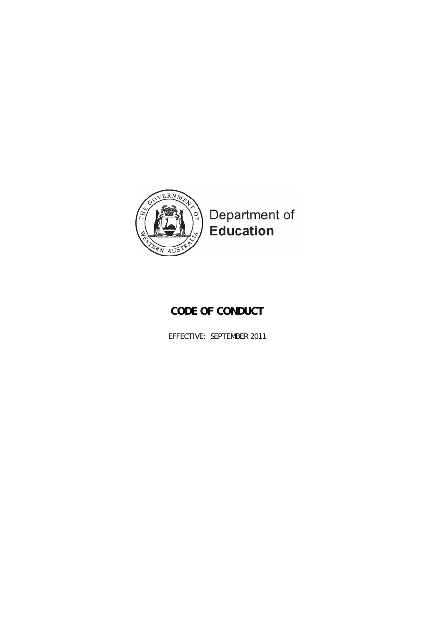

# **CODE OF CONDUCT**

EFFECTIVE: SEPTEMBER 2011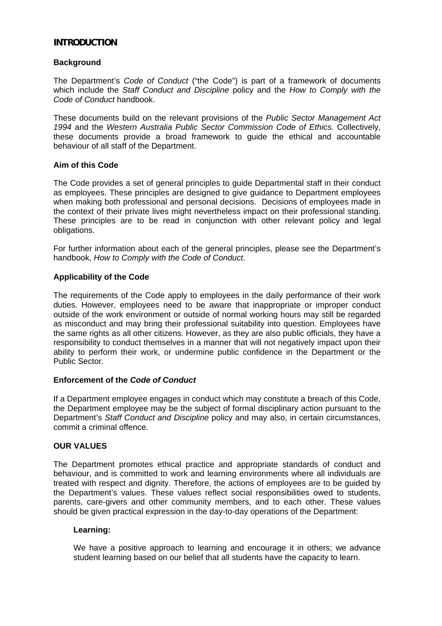### **INTRODUCTION**

#### **Background**

The Department's *Code of Conduct* ("the Code") is part of a framework of documents which include the *Staff Conduct and Discipline* policy and the *How to Comply with the Code of Conduct* handbook.

These documents build on the relevant provisions of the *Public Sector Management Act 1994* and the *Western Australia Public Sector Commission Code of Ethics.* Collectively, these documents provide a broad framework to guide the ethical and accountable behaviour of all staff of the Department.

#### **Aim of this Code**

The Code provides a set of general principles to guide Departmental staff in their conduct as employees. These principles are designed to give guidance to Department employees when making both professional and personal decisions. Decisions of employees made in the context of their private lives might nevertheless impact on their professional standing. These principles are to be read in conjunction with other relevant policy and legal obligations.

For further information about each of the general principles, please see the Department's handbook, *How to Comply with the Code of Conduct*.

#### **Applicability of the Code**

The requirements of the Code apply to employees in the daily performance of their work duties. However, employees need to be aware that inappropriate or improper conduct outside of the work environment or outside of normal working hours may still be regarded as misconduct and may bring their professional suitability into question. Employees have the same rights as all other citizens. However, as they are also public officials, they have a responsibility to conduct themselves in a manner that will not negatively impact upon their ability to perform their work, or undermine public confidence in the Department or the Public Sector.

#### **Enforcement of the** *Code of Conduct*

If a Department employee engages in conduct which may constitute a breach of this Code, the Department employee may be the subject of formal disciplinary action pursuant to the Department's *Staff Conduct and Discipline* policy and may also, in certain circumstances, commit a criminal offence.

#### **OUR VALUES**

The Department promotes ethical practice and appropriate standards of conduct and behaviour, and is committed to work and learning environments where all individuals are treated with respect and dignity. Therefore, the actions of employees are to be guided by the Department's values. These values reflect social responsibilities owed to students, parents, care-givers and other community members, and to each other. These values should be given practical expression in the day-to-day operations of the Department:

#### **Learning:**

We have a positive approach to learning and encourage it in others; we advance student learning based on our belief that all students have the capacity to learn.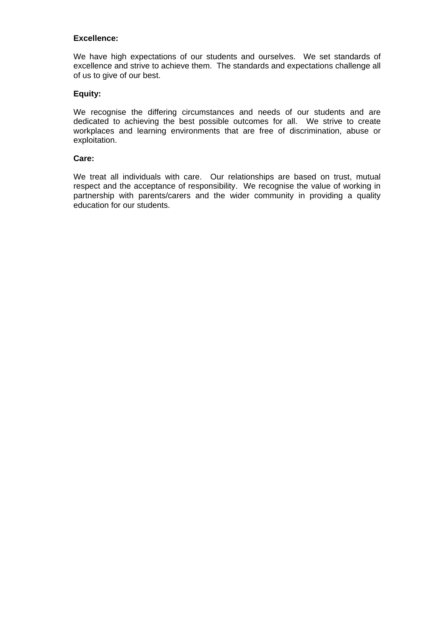## **Excellence:**

We have high expectations of our students and ourselves. We set standards of excellence and strive to achieve them. The standards and expectations challenge all of us to give of our best.

# **Equity:**

We recognise the differing circumstances and needs of our students and are dedicated to achieving the best possible outcomes for all. We strive to create workplaces and learning environments that are free of discrimination, abuse or exploitation.

#### **Care:**

We treat all individuals with care. Our relationships are based on trust, mutual respect and the acceptance of responsibility. We recognise the value of working in partnership with parents/carers and the wider community in providing a quality education for our students.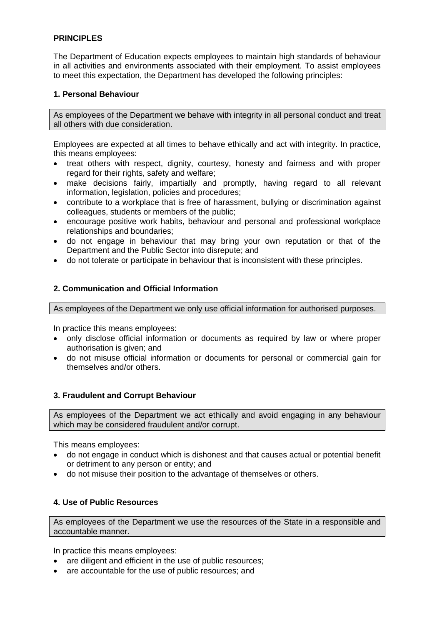# **PRINCIPLES**

The Department of Education expects employees to maintain high standards of behaviour in all activities and environments associated with their employment. To assist employees to meet this expectation, the Department has developed the following principles:

## **1. Personal Behaviour**

As employees of the Department we behave with integrity in all personal conduct and treat all others with due consideration.

Employees are expected at all times to behave ethically and act with integrity. In practice, this means employees:

- treat others with respect, dignity, courtesy, honesty and fairness and with proper regard for their rights, safety and welfare;
- make decisions fairly, impartially and promptly, having regard to all relevant information, legislation, policies and procedures;
- contribute to a workplace that is free of harassment, bullying or discrimination against colleagues, students or members of the public;
- encourage positive work habits, behaviour and personal and professional workplace relationships and boundaries;
- do not engage in behaviour that may bring your own reputation or that of the Department and the Public Sector into disrepute; and
- do not tolerate or participate in behaviour that is inconsistent with these principles.

## **2. Communication and Official Information**

As employees of the Department we only use official information for authorised purposes.

In practice this means employees:

- only disclose official information or documents as required by law or where proper authorisation is given; and
- do not misuse official information or documents for personal or commercial gain for themselves and/or others.

# **3. Fraudulent and Corrupt Behaviour**

As employees of the Department we act ethically and avoid engaging in any behaviour which may be considered fraudulent and/or corrupt.

This means employees:

- do not engage in conduct which is dishonest and that causes actual or potential benefit or detriment to any person or entity; and
- do not misuse their position to the advantage of themselves or others.

# **4. Use of Public Resources**

As employees of the Department we use the resources of the State in a responsible and accountable manner.

In practice this means employees:

- are diligent and efficient in the use of public resources;
- are accountable for the use of public resources; and